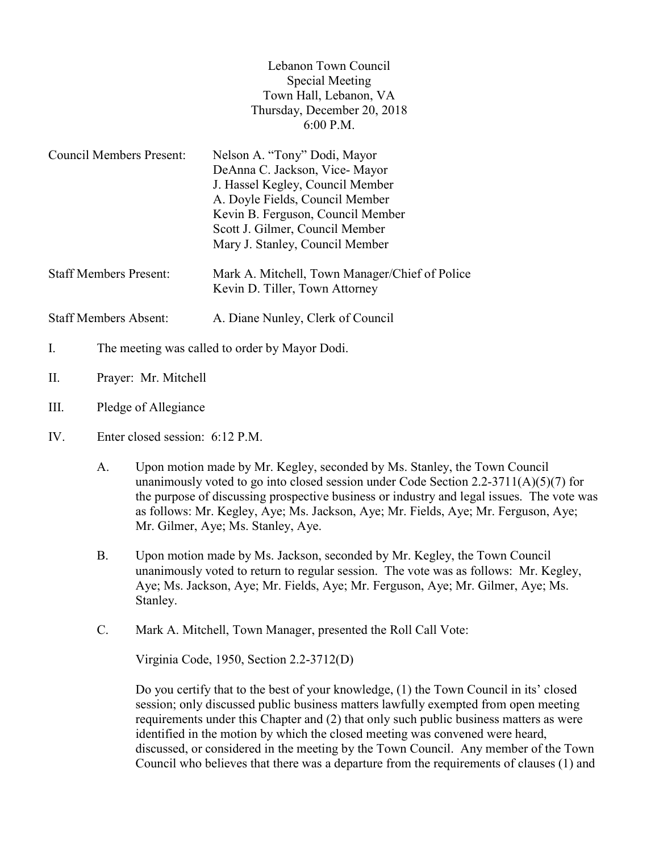## Lebanon Town Council Special Meeting Town Hall, Lebanon, VA Thursday, December 20, 2018 6:00 P.M.

| <b>Council Members Present:</b> | Nelson A. "Tony" Dodi, Mayor                                                     |
|---------------------------------|----------------------------------------------------------------------------------|
|                                 | DeAnna C. Jackson, Vice-Mayor                                                    |
|                                 | J. Hassel Kegley, Council Member                                                 |
|                                 | A. Doyle Fields, Council Member                                                  |
|                                 | Kevin B. Ferguson, Council Member                                                |
|                                 | Scott J. Gilmer, Council Member                                                  |
|                                 | Mary J. Stanley, Council Member                                                  |
| <b>Staff Members Present:</b>   | Mark A. Mitchell, Town Manager/Chief of Police<br>Kevin D. Tiller, Town Attorney |
| <b>Staff Members Absent:</b>    | A. Diane Nunley, Clerk of Council                                                |

- I. The meeting was called to order by Mayor Dodi.
- II. Prayer: Mr. Mitchell
- III. Pledge of Allegiance
- IV. Enter closed session: 6:12 P.M.
	- A. Upon motion made by Mr. Kegley, seconded by Ms. Stanley, the Town Council unanimously voted to go into closed session under Code Section 2.2-3711(A)(5)(7) for the purpose of discussing prospective business or industry and legal issues. The vote was as follows: Mr. Kegley, Aye; Ms. Jackson, Aye; Mr. Fields, Aye; Mr. Ferguson, Aye; Mr. Gilmer, Aye; Ms. Stanley, Aye.
	- B. Upon motion made by Ms. Jackson, seconded by Mr. Kegley, the Town Council unanimously voted to return to regular session. The vote was as follows: Mr. Kegley, Aye; Ms. Jackson, Aye; Mr. Fields, Aye; Mr. Ferguson, Aye; Mr. Gilmer, Aye; Ms. Stanley.
	- C. Mark A. Mitchell, Town Manager, presented the Roll Call Vote:

Virginia Code, 1950, Section 2.2-3712(D)

 Do you certify that to the best of your knowledge, (1) the Town Council in its' closed session; only discussed public business matters lawfully exempted from open meeting requirements under this Chapter and (2) that only such public business matters as were identified in the motion by which the closed meeting was convened were heard, discussed, or considered in the meeting by the Town Council. Any member of the Town Council who believes that there was a departure from the requirements of clauses (1) and